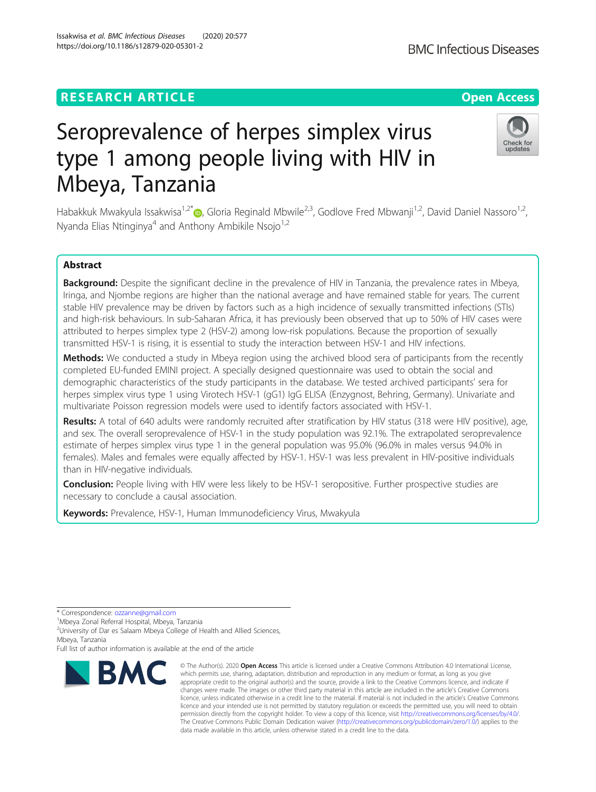# **RESEARCH ARTICLE Example 2014 12:30 The Contract of Contract ACCESS**

# Seroprevalence of herpes simplex virus type 1 among people living with HIV in Mbeya, Tanzania

Habakkuk Mwakyula Issakwisa<sup>1,2[\\*](http://orcid.org/0000-0003-2460-4282)</sup> (b. Gloria Reginald Mbwile<sup>2,3</sup>, Godlove Fred Mbwanji<sup>1,2</sup>, David Daniel Nassoro<sup>1,2</sup>, Nyanda Elias Ntinginya<sup>4</sup> and Anthony Ambikile Nsojo<sup>1,2</sup>

# Abstract

Background: Despite the significant decline in the prevalence of HIV in Tanzania, the prevalence rates in Mbeya, Iringa, and Njombe regions are higher than the national average and have remained stable for years. The current stable HIV prevalence may be driven by factors such as a high incidence of sexually transmitted infections (STIs) and high-risk behaviours. In sub-Saharan Africa, it has previously been observed that up to 50% of HIV cases were attributed to herpes simplex type 2 (HSV-2) among low-risk populations. Because the proportion of sexually transmitted HSV-1 is rising, it is essential to study the interaction between HSV-1 and HIV infections.

**Methods:** We conducted a study in Mbeya region using the archived blood sera of participants from the recently completed EU-funded EMINI project. A specially designed questionnaire was used to obtain the social and demographic characteristics of the study participants in the database. We tested archived participants' sera for herpes simplex virus type 1 using Virotech HSV-1 (gG1) IgG ELISA (Enzygnost, Behring, Germany). Univariate and multivariate Poisson regression models were used to identify factors associated with HSV-1.

Results: A total of 640 adults were randomly recruited after stratification by HIV status (318 were HIV positive), age, and sex. The overall seroprevalence of HSV-1 in the study population was 92.1%. The extrapolated seroprevalence estimate of herpes simplex virus type 1 in the general population was 95.0% (96.0% in males versus 94.0% in females). Males and females were equally affected by HSV-1. HSV-1 was less prevalent in HIV-positive individuals than in HIV-negative individuals.

Conclusion: People living with HIV were less likely to be HSV-1 seropositive. Further prospective studies are necessary to conclude a causal association.

Keywords: Prevalence, HSV-1, Human Immunodeficiency Virus, Mwakyula



<sup>©</sup> The Author(s), 2020 **Open Access** This article is licensed under a Creative Commons Attribution 4.0 International License, which permits use, sharing, adaptation, distribution and reproduction in any medium or format, as long as you give appropriate credit to the original author(s) and the source, provide a link to the Creative Commons licence, and indicate if changes were made. The images or other third party material in this article are included in the article's Creative Commons licence, unless indicated otherwise in a credit line to the material. If material is not included in the article's Creative Commons licence and your intended use is not permitted by statutory regulation or exceeds the permitted use, you will need to obtain permission directly from the copyright holder. To view a copy of this licence, visit [http://creativecommons.org/licenses/by/4.0/.](http://creativecommons.org/licenses/by/4.0/) The Creative Commons Public Domain Dedication waiver [\(http://creativecommons.org/publicdomain/zero/1.0/](http://creativecommons.org/publicdomain/zero/1.0/)) applies to the data made available in this article, unless otherwise stated in a credit line to the data.



<sup>\*</sup> Correspondence: [ozzanne@gmail.com](mailto:ozzanne@gmail.com) <sup>1</sup>

Mbeya Zonal Referral Hospital, Mbeya, Tanzania

<sup>&</sup>lt;sup>2</sup>University of Dar es Salaam Mbeya College of Health and Allied Sciences, Mbeya, Tanzania

Full list of author information is available at the end of the article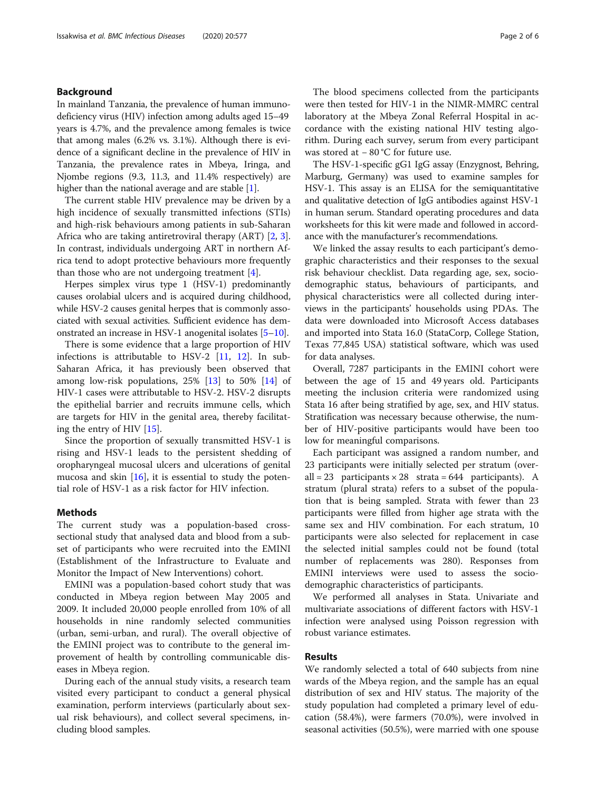# Background

In mainland Tanzania, the prevalence of human immunodeficiency virus (HIV) infection among adults aged 15–49 years is 4.7%, and the prevalence among females is twice that among males (6.2% vs. 3.1%). Although there is evidence of a significant decline in the prevalence of HIV in Tanzania, the prevalence rates in Mbeya, Iringa, and Njombe regions (9.3, 11.3, and 11.4% respectively) are higher than the national average and are stable [[1\]](#page-4-0).

The current stable HIV prevalence may be driven by a high incidence of sexually transmitted infections (STIs) and high-risk behaviours among patients in sub-Saharan Africa who are taking antiretroviral therapy (ART) [\[2](#page-4-0), [3](#page-4-0)]. In contrast, individuals undergoing ART in northern Africa tend to adopt protective behaviours more frequently than those who are not undergoing treatment [[4](#page-4-0)].

Herpes simplex virus type 1 (HSV-1) predominantly causes orolabial ulcers and is acquired during childhood, while HSV-2 causes genital herpes that is commonly associated with sexual activities. Sufficient evidence has demonstrated an increase in HSV-1 anogenital isolates [\[5](#page-4-0)–[10\]](#page-4-0).

There is some evidence that a large proportion of HIV infections is attributable to HSV-2  $[11, 12]$  $[11, 12]$  $[11, 12]$  $[11, 12]$ . In sub-Saharan Africa, it has previously been observed that among low-risk populations, 25% [[13\]](#page-4-0) to 50% [\[14](#page-5-0)] of HIV-1 cases were attributable to HSV-2. HSV-2 disrupts the epithelial barrier and recruits immune cells, which are targets for HIV in the genital area, thereby facilitating the entry of HIV [[15\]](#page-5-0).

Since the proportion of sexually transmitted HSV-1 is rising and HSV-1 leads to the persistent shedding of oropharyngeal mucosal ulcers and ulcerations of genital mucosa and skin [[16](#page-5-0)], it is essential to study the potential role of HSV-1 as a risk factor for HIV infection.

# Methods

The current study was a population-based crosssectional study that analysed data and blood from a subset of participants who were recruited into the EMINI (Establishment of the Infrastructure to Evaluate and Monitor the Impact of New Interventions) cohort.

EMINI was a population-based cohort study that was conducted in Mbeya region between May 2005 and 2009. It included 20,000 people enrolled from 10% of all households in nine randomly selected communities (urban, semi-urban, and rural). The overall objective of the EMINI project was to contribute to the general improvement of health by controlling communicable diseases in Mbeya region.

During each of the annual study visits, a research team visited every participant to conduct a general physical examination, perform interviews (particularly about sexual risk behaviours), and collect several specimens, including blood samples.

The blood specimens collected from the participants were then tested for HIV-1 in the NIMR-MMRC central laboratory at the Mbeya Zonal Referral Hospital in accordance with the existing national HIV testing algorithm. During each survey, serum from every participant was stored at − 80 °C for future use.

The HSV-1-specific gG1 IgG assay (Enzygnost, Behring, Marburg, Germany) was used to examine samples for HSV-1. This assay is an ELISA for the semiquantitative and qualitative detection of IgG antibodies against HSV-1 in human serum. Standard operating procedures and data worksheets for this kit were made and followed in accordance with the manufacturer's recommendations.

We linked the assay results to each participant's demographic characteristics and their responses to the sexual risk behaviour checklist. Data regarding age, sex, sociodemographic status, behaviours of participants, and physical characteristics were all collected during interviews in the participants' households using PDAs. The data were downloaded into Microsoft Access databases and imported into Stata 16.0 (StataCorp, College Station, Texas 77,845 USA) statistical software, which was used for data analyses.

Overall, 7287 participants in the EMINI cohort were between the age of 15 and 49 years old. Participants meeting the inclusion criteria were randomized using Stata 16 after being stratified by age, sex, and HIV status. Stratification was necessary because otherwise, the number of HIV-positive participants would have been too low for meaningful comparisons.

Each participant was assigned a random number, and 23 participants were initially selected per stratum (overall = 23 participants  $\times$  28 strata = 644 participants). A stratum (plural strata) refers to a subset of the population that is being sampled. Strata with fewer than 23 participants were filled from higher age strata with the same sex and HIV combination. For each stratum, 10 participants were also selected for replacement in case the selected initial samples could not be found (total number of replacements was 280). Responses from EMINI interviews were used to assess the sociodemographic characteristics of participants.

We performed all analyses in Stata. Univariate and multivariate associations of different factors with HSV-1 infection were analysed using Poisson regression with robust variance estimates.

# Results

We randomly selected a total of 640 subjects from nine wards of the Mbeya region, and the sample has an equal distribution of sex and HIV status. The majority of the study population had completed a primary level of education (58.4%), were farmers (70.0%), were involved in seasonal activities (50.5%), were married with one spouse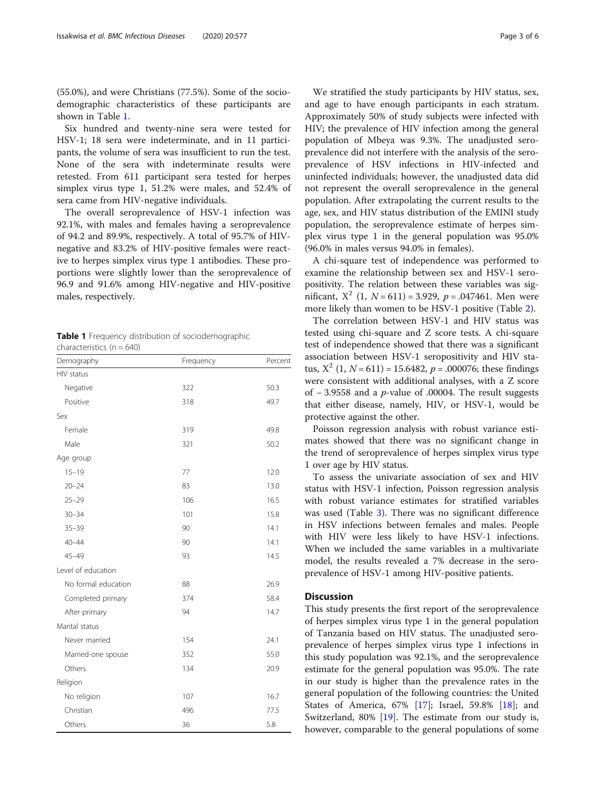(55.0%), and were Christians (77.5%). Some of the sociodemographic characteristics of these participants are shown in Table 1.

Six hundred and twenty-nine sera were tested for HSV-1; 18 sera were indeterminate, and in 11 participants, the volume of sera was insufficient to run the test. None of the sera with indeterminate results were retested. From 611 participant sera tested for herpes simplex virus type 1, 51.2% were males, and 52.4% of sera came from HIV-negative individuals.

The overall seroprevalence of HSV-1 infection was 92.1%, with males and females having a seroprevalence of 94.2 and 89.9%, respectively. A total of 95.7% of HIVnegative and 83.2% of HIV-positive females were reactive to herpes simplex virus type 1 antibodies. These proportions were slightly lower than the seroprevalence of 96.9 and 91.6% among HIV-negative and HIV-positive males, respectively.

Table 1 Frequency distribution of sociodemographic characteristics  $(n = 640)$ 

| Demography          | Frequency | Percent |  |
|---------------------|-----------|---------|--|
| HIV status          |           |         |  |
| Negative            | 322       | 50.3    |  |
| Positive            | 318       | 49.7    |  |
| Sex                 |           |         |  |
| Female              | 319       | 49.8    |  |
| Male                | 321       | 50.2    |  |
| Age group           |           |         |  |
| $15 - 19$           | 77        | 12.0    |  |
| $20 - 24$           | 83        | 13.0    |  |
| $25 - 29$           | 106       | 16.5    |  |
| $30 - 34$           | 101       | 15.8    |  |
| $35 - 39$           | 90        | 14.1    |  |
| $40 - 44$           | 90        | 14.1    |  |
| $45 - 49$           | 93        | 14.5    |  |
| Level of education  |           |         |  |
| No formal education | 88        | 26.9    |  |
| Completed primary   | 374       | 58.4    |  |
| After primary       | 94        | 14.7    |  |
| Marital status      |           |         |  |
| Never married       | 154       | 24.1    |  |
| Married-one spouse  | 352       | 55.0    |  |
| Others              | 134       | 20.9    |  |
| Religion            |           |         |  |
| No religion         | 107       | 16.7    |  |
| Christian           | 496       | 77.5    |  |
| Others              | 36        | 5.8     |  |

We stratified the study participants by HIV status, sex, and age to have enough participants in each stratum. Approximately 50% of study subjects were infected with HIV; the prevalence of HIV infection among the general population of Mbeya was 9.3%. The unadjusted seroprevalence did not interfere with the analysis of the seroprevalence of HSV infections in HIV-infected and uninfected individuals; however, the unadjusted data did not represent the overall seroprevalence in the general population. After extrapolating the current results to the age, sex, and HIV status distribution of the EMINI study population, the seroprevalence estimate of herpes simplex virus type 1 in the general population was 95.0% (96.0% in males versus 94.0% in females).

A chi-square test of independence was performed to examine the relationship between sex and HSV-1 seropositivity. The relation between these variables was significant,  $X^2$  (1,  $N = 611$ ) = 3.929,  $p = .047461$ . Men were more likely than women to be HSV-1 positive (Table [2](#page-3-0)).

The correlation between HSV-1 and HIV status was tested using chi-square and Z score tests. A chi-square test of independence showed that there was a significant association between HSV-1 seropositivity and HIV status,  $X^2$  (1,  $N = 611$ ) = 15.6482,  $p = .000076$ ; these findings were consistent with additional analyses, with a Z score of  $-3.9558$  and a *p*-value of .00004. The result suggests that either disease, namely, HIV, or HSV-1, would be protective against the other.

Poisson regression analysis with robust variance estimates showed that there was no significant change in the trend of seroprevalence of herpes simplex virus type 1 over age by HIV status.

To assess the univariate association of sex and HIV status with HSV-1 infection, Poisson regression analysis with robust variance estimates for stratified variables was used (Table [3](#page-3-0)). There was no significant difference in HSV infections between females and males. People with HIV were less likely to have HSV-1 infections. When we included the same variables in a multivariate model, the results revealed a 7% decrease in the seroprevalence of HSV-1 among HIV-positive patients.

## **Discussion**

This study presents the first report of the seroprevalence of herpes simplex virus type 1 in the general population of Tanzania based on HIV status. The unadjusted seroprevalence of herpes simplex virus type 1 infections in this study population was 92.1%, and the seroprevalence estimate for the general population was 95.0%. The rate in our study is higher than the prevalence rates in the general population of the following countries: the United States of America, 67% [[17](#page-5-0)]; Israel, 59.8% [\[18](#page-5-0)]; and Switzerland, 80% [[19\]](#page-5-0). The estimate from our study is, however, comparable to the general populations of some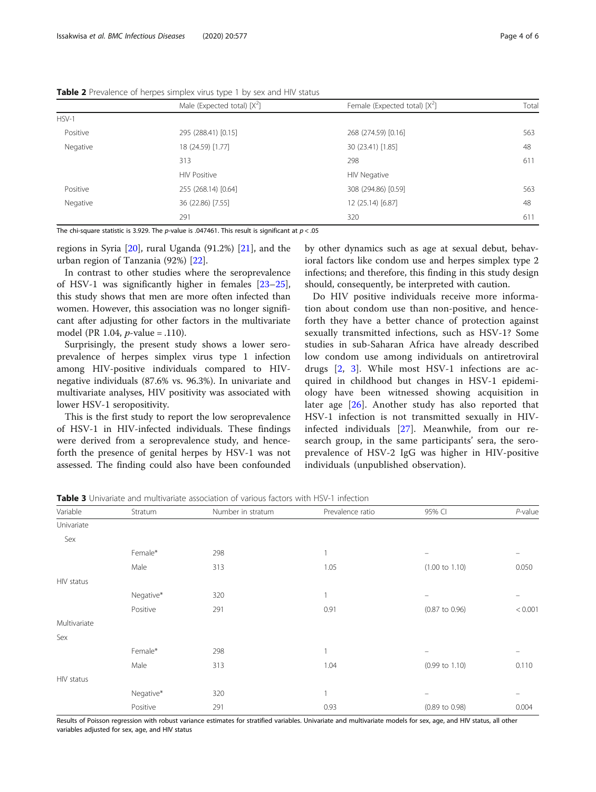|          | Male (Expected total) $[X^2]$              | Female (Expected total) $[X^2]$ | Tota |
|----------|--------------------------------------------|---------------------------------|------|
| $HSV-1$  |                                            |                                 |      |
| Positive | 295 (288.41) [0.15]                        | 268 (274.59) [0.16]             | 563  |
| Negative | 18 (24.59) [1.77]                          | 30 (23.41) [1.85]               | 48   |
|          | 313                                        | 298                             | 611  |
|          | <b>HIV Positive</b>                        | <b>HIV Negative</b>             |      |
| Positive | 255 (268.14) [0.64]<br>308 (294.86) [0.59] |                                 | 563  |
| Negative | 36 (22.86) [7.55]                          | 12 (25.14) [6.87]               | 48   |
|          | 291                                        | 320                             | 611  |

<span id="page-3-0"></span>Table 2 Prevalence of herpes simplex virus type 1 by sex and HIV status

The chi-square statistic is 3.929. The p-value is .047461. This result is significant at  $p < .05$ 

regions in Syria [[20\]](#page-5-0), rural Uganda (91.2%) [[21\]](#page-5-0), and the urban region of Tanzania (92%) [[22\]](#page-5-0).

In contrast to other studies where the seroprevalence of HSV-1 was significantly higher in females [[23](#page-5-0)–[25](#page-5-0)], this study shows that men are more often infected than women. However, this association was no longer significant after adjusting for other factors in the multivariate model (PR 1.04, p-value = .110).

Surprisingly, the present study shows a lower seroprevalence of herpes simplex virus type 1 infection among HIV-positive individuals compared to HIVnegative individuals (87.6% vs. 96.3%). In univariate and multivariate analyses, HIV positivity was associated with lower HSV-1 seropositivity.

This is the first study to report the low seroprevalence of HSV-1 in HIV-infected individuals. These findings were derived from a seroprevalence study, and henceforth the presence of genital herpes by HSV-1 was not assessed. The finding could also have been confounded by other dynamics such as age at sexual debut, behavioral factors like condom use and herpes simplex type 2 infections; and therefore, this finding in this study design should, consequently, be interpreted with caution.

Do HIV positive individuals receive more information about condom use than non-positive, and henceforth they have a better chance of protection against sexually transmitted infections, such as HSV-1? Some studies in sub-Saharan Africa have already described low condom use among individuals on antiretroviral drugs [\[2](#page-4-0), [3\]](#page-4-0). While most HSV-1 infections are acquired in childhood but changes in HSV-1 epidemiology have been witnessed showing acquisition in later age [\[26](#page-5-0)]. Another study has also reported that HSV-1 infection is not transmitted sexually in HIVinfected individuals [\[27](#page-5-0)]. Meanwhile, from our research group, in the same participants' sera, the seroprevalence of HSV-2 IgG was higher in HIV-positive individuals (unpublished observation).

Table 3 Univariate and multivariate association of various factors with HSV-1 infection

| Variable     | Stratum   | Number in stratum | Prevalence ratio | 95% CI                    | $P$ -value |
|--------------|-----------|-------------------|------------------|---------------------------|------------|
| Univariate   |           |                   |                  |                           |            |
| Sex          |           |                   |                  |                           |            |
|              | Female*   | 298               | 1                | $\overline{\phantom{m}}$  |            |
|              | Male      | 313               | 1.05             | $(1.00 \text{ to } 1.10)$ | 0.050      |
| HIV status   |           |                   |                  |                           |            |
|              | Negative* | 320               | 1                | $\equiv$                  |            |
|              | Positive  | 291               | 0.91             | $(0.87 \text{ to } 0.96)$ | < 0.001    |
| Multivariate |           |                   |                  |                           |            |
| Sex          |           |                   |                  |                           |            |
|              | Female*   | 298               | 1                |                           |            |
|              | Male      | 313               | 1.04             | $(0.99 \text{ to } 1.10)$ | 0.110      |
| HIV status   |           |                   |                  |                           |            |
|              | Negative* | 320               |                  | $\qquad \qquad -$         |            |
|              | Positive  | 291               | 0.93             | $(0.89 \text{ to } 0.98)$ | 0.004      |

Results of Poisson regression with robust variance estimates for stratified variables. Univariate and multivariate models for sex, age, and HIV status, all other variables adjusted for sex, age, and HIV status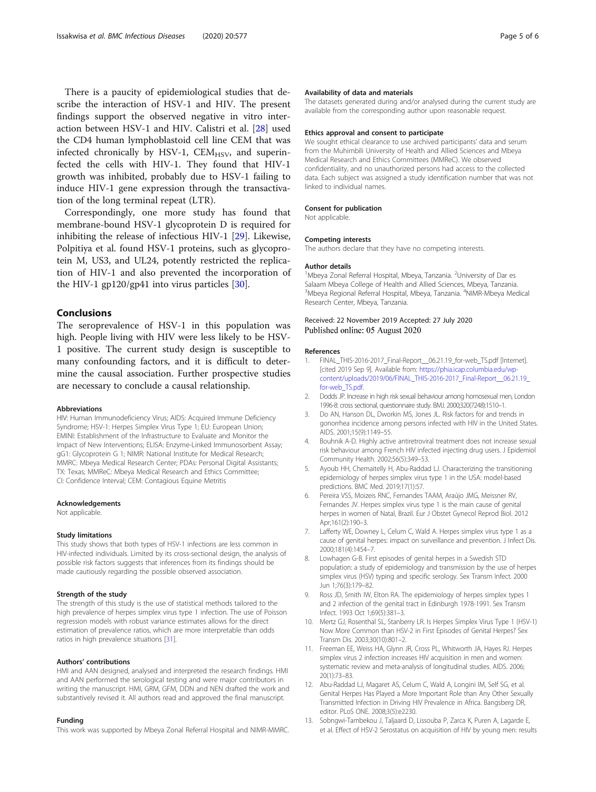<span id="page-4-0"></span>There is a paucity of epidemiological studies that describe the interaction of HSV-1 and HIV. The present findings support the observed negative in vitro interaction between HSV-1 and HIV. Calistri et al. [\[28](#page-5-0)] used the CD4 human lymphoblastoid cell line CEM that was infected chronically by HSV-1,  $CEM_{HSV}$ , and superinfected the cells with HIV-1. They found that HIV-1 growth was inhibited, probably due to HSV-1 failing to induce HIV-1 gene expression through the transactivation of the long terminal repeat (LTR).

Correspondingly, one more study has found that membrane-bound HSV-1 glycoprotein D is required for inhibiting the release of infectious HIV-1 [[29\]](#page-5-0). Likewise, Polpitiya et al. found HSV-1 proteins, such as glycoprotein M, US3, and UL24, potently restricted the replication of HIV-1 and also prevented the incorporation of the HIV-1 gp120/gp41 into virus particles [[30\]](#page-5-0).

#### Conclusions

The seroprevalence of HSV-1 in this population was high. People living with HIV were less likely to be HSV-1 positive. The current study design is susceptible to many confounding factors, and it is difficult to determine the causal association. Further prospective studies are necessary to conclude a causal relationship.

#### Abbreviations

HIV: Human Immunodeficiency Virus; AIDS: Acquired Immune Deficiency Syndrome; HSV-1: Herpes Simplex Virus Type 1; EU: European Union; EMINI: Establishment of the Infrastructure to Evaluate and Monitor the Impact of New Interventions; ELISA: Enzyme-Linked Immunosorbent Assay; gG1: Glycoprotein G 1; NIMR: National Institute for Medical Research; MMRC: Mbeya Medical Research Center; PDAs: Personal Digital Assistants; TX: Texas; MMReC: Mbeya Medical Research and Ethics Committee; CI: Confidence Interval; CEM: Contagious Equine Metritis

#### Acknowledgements

Not applicable.

#### Study limitations

This study shows that both types of HSV-1 infections are less common in HIV-infected individuals. Limited by its cross-sectional design, the analysis of possible risk factors suggests that inferences from its findings should be made cautiously regarding the possible observed association.

## Strength of the study

The strength of this study is the use of statistical methods tailored to the high prevalence of herpes simplex virus type 1 infection. The use of Poisson regression models with robust variance estimates allows for the direct estimation of prevalence ratios, which are more interpretable than odds ratios in high prevalence situations [\[31](#page-5-0)].

#### Authors' contributions

HMI and AAN designed, analysed and interpreted the research findings. HMI and AAN performed the serological testing and were major contributors in writing the manuscript. HMI, GRM, GFM, DDN and NEN drafted the work and substantively revised it. All authors read and approved the final manuscript.

#### Funding

This work was supported by Mbeya Zonal Referral Hospital and NIMR-MMRC.

#### Availability of data and materials

The datasets generated during and/or analysed during the current study are available from the corresponding author upon reasonable request.

#### Ethics approval and consent to participate

We sought ethical clearance to use archived participants' data and serum from the Muhimbili University of Health and Allied Sciences and Mbeya Medical Research and Ethics Committees (MMReC). We observed confidentiality, and no unauthorized persons had access to the collected data. Each subject was assigned a study identification number that was not linked to individual names.

#### Consent for publication

Not applicable.

#### Competing interests

The authors declare that they have no competing interests.

#### Author details

<sup>1</sup>Mbeya Zonal Referral Hospital, Mbeya, Tanzania. <sup>2</sup>University of Dar es Salaam Mbeya College of Health and Allied Sciences, Mbeya, Tanzania. <sup>3</sup>Mbeya Regional Referral Hospital, Mbeya, Tanzania. <sup>4</sup>NIMR-Mbeya Medical Research Center, Mbeya, Tanzania.

#### Received: 22 November 2019 Accepted: 27 July 2020 Published online: 05 August 2020

#### References

- 1. FINAL\_THIS-2016-2017\_Final-Report\_\_06.21.19\_for-web\_TS.pdf [Internet]. [cited 2019 Sep 9]. Available from: https://phia.icap.columbia.edu/wp [content/uploads/2019/06/FINAL\\_THIS-2016-2017\\_Final-Report\\_\\_06.21.19\\_](https://phia.icap.columbia.edu/wp-content/uploads/2019/06/FINAL_THIS-2016-2017_Final-Report__06.21.19_for-web_TS.pdf) [for-web\\_TS.pdf.](https://phia.icap.columbia.edu/wp-content/uploads/2019/06/FINAL_THIS-2016-2017_Final-Report__06.21.19_for-web_TS.pdf)
- 2. Dodds JP. Increase in high risk sexual behaviour among homosexual men, London 1996-8: cross sectional, questionnaire study. BMJ. 2000;320(7248):1510–1.
- 3. Do AN, Hanson DL, Dworkin MS, Jones JL. Risk factors for and trends in gonorrhea incidence among persons infected with HIV in the United States. AIDS. 2001;15(9):1149–55.
- 4. Bouhnik A-D. Highly active antiretroviral treatment does not increase sexual risk behaviour among French HIV infected injecting drug users. J Epidemiol Community Health. 2002;56(5):349–53.
- 5. Ayoub HH, Chemaitelly H, Abu-Raddad LJ. Characterizing the transitioning epidemiology of herpes simplex virus type 1 in the USA: model-based predictions. BMC Med. 2019;17(1):57.
- 6. Pereira VSS, Moizeis RNC, Fernandes TAAM, Araújo JMG, Meissner RV, Fernandes JV. Herpes simplex virus type 1 is the main cause of genital herpes in women of Natal, Brazil. Eur J Obstet Gynecol Reprod Biol. 2012 Apr;161(2):190–3.
- 7. Lafferty WE, Downey L, Celum C, Wald A. Herpes simplex virus type 1 as a cause of genital herpes: impact on surveillance and prevention. J Infect Dis. 2000;181(4):1454–7.
- 8. Lowhagen G-B. First episodes of genital herpes in a Swedish STD population: a study of epidemiology and transmission by the use of herpes simplex virus (HSV) typing and specific serology. Sex Transm Infect. 2000 Jun 1;76(3):179–82.
- 9. Ross JD, Smith IW, Elton RA. The epidemiology of herpes simplex types 1 and 2 infection of the genital tract in Edinburgh 1978-1991. Sex Transm Infect. 1993 Oct 1;69(5):381–3.
- 10. Mertz GJ, Rosenthal SL, Stanberry LR. Is Herpes Simplex Virus Type 1 (HSV-1) Now More Common than HSV-2 in First Episodes of Genital Herpes? Sex Transm Dis. 2003;30(10):801–2.
- 11. Freeman EE, Weiss HA, Glynn JR, Cross PL, Whitworth JA, Hayes RJ. Herpes simplex virus 2 infection increases HIV acquisition in men and women: systematic review and meta-analysis of longitudinal studies. AIDS. 2006; 20(1):73–83.
- 12. Abu-Raddad LJ, Magaret AS, Celum C, Wald A, Longini IM, Self SG, et al. Genital Herpes Has Played a More Important Role than Any Other Sexually Transmitted Infection in Driving HIV Prevalence in Africa. Bangsberg DR, editor. PLoS ONE. 2008;3(5):e2230.
- 13. Sobngwi-Tambekou J, Taljaard D, Lissouba P, Zarca K, Puren A, Lagarde E, et al. Effect of HSV-2 Serostatus on acquisition of HIV by young men: results